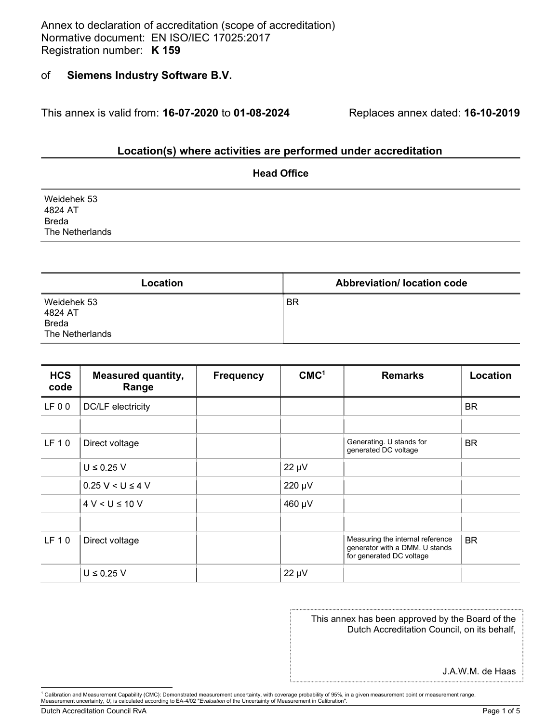Annex to declaration of accreditation (scope of accreditation) Annex to declaration of accreditation (scope of accreditation)<br>Normative document: EN ISO/IEC 17025:2017<br>Registration number: **K 159**<br>of **Siemens Industry Software B.V.** Annex to declaration of accreditation (scope of accreditation)<br>Normative document: EN ISO/IEC 17025:2017<br>Registration number: **K 159**<br>of **Siemens Industry Software B.V.** 

#### of Siemens Industry Software B.V.

This annex is valid from: 16-07-2020 to 01-08-2024 Replaces annex dated: 16-10-2019

#### Location(s) where activities are performed under accreditation

|                        | <b>Head Office</b> |
|------------------------|--------------------|
| Weidehek 53<br>4824 AT |                    |
| <b>Breda</b>           |                    |
| The Netherlands        |                    |
|                        |                    |

| Location                                                  | <b>Abbreviation/ location code</b> |
|-----------------------------------------------------------|------------------------------------|
| Weidehek 53<br>4824 AT<br><b>Breda</b><br>The Netherlands | <b>BR</b>                          |

| <b>HCS</b><br>code | <b>Measured quantity,</b><br>Range | <b>Frequency</b> | CMC <sup>1</sup> | <b>Remarks</b>                                                                                  | Location  |  |
|--------------------|------------------------------------|------------------|------------------|-------------------------------------------------------------------------------------------------|-----------|--|
| LF00               | DC/LF electricity                  |                  |                  |                                                                                                 | <b>BR</b> |  |
|                    |                                    |                  |                  |                                                                                                 |           |  |
| LF 10              | Direct voltage                     |                  |                  | Generating. U stands for<br>generated DC voltage                                                | <b>BR</b> |  |
|                    | $U \leq 0.25 V$                    |                  | $22 \mu V$       |                                                                                                 |           |  |
|                    | $0.25 V < U \le 4 V$               |                  | 220 µV           |                                                                                                 |           |  |
|                    | $4 V < U \le 10 V$                 |                  | 460 µV           |                                                                                                 |           |  |
| LF 10              | Direct voltage                     |                  |                  | Measuring the internal reference<br>generator with a DMM. U stands<br>for generated DC voltage  | <b>BR</b> |  |
|                    | $U \leq 0.25 V$                    |                  | $22 \mu V$       |                                                                                                 |           |  |
|                    |                                    |                  |                  | This annex has been approved by the Board of the<br>Dutch Accreditation Council, on its behalf, |           |  |
|                    |                                    |                  |                  | J.A.W.M. de Haas                                                                                |           |  |

#### This annex has been approved by the Board of the Dutch Accreditation Council, on its behalf,

Dutch Accreditation Council RvA **Page 1 of 5** and 2011 1 and 2012 1 and 2012 1 and 2012 1 and 2012 1 and 2012 1 and 2012 1 and 2012 1 and 2012 1 and 2012 1 and 2012 1 and 2012 1 and 2012 1 and 2012 1 and 2012 1 and 2012 1

<sup>&</sup>lt;sup>1</sup> Calibration and Measurement Capability (CMC): Demonstrated measurement uncertainty, with coverage probability of 95%, in a given measurement point or measurement range.<br>Measurement uncertainty, *U*, is calculated accor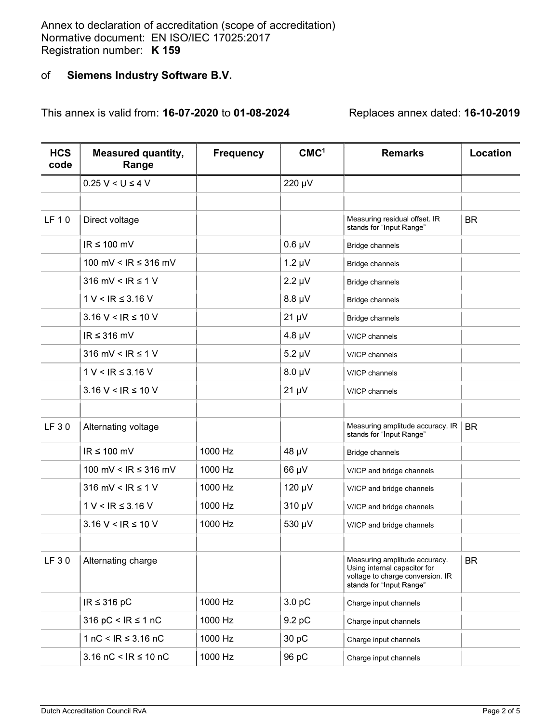Annex to declaration of accreditation (scope of accreditation)<br>Normative document: EN ISO/IEC 17025:2017 Annex to declaration of accreditation (scope of accreditation)<br>Normative document: EN ISO/IEC 17025:2017<br>Registration number: **K 159**<br>of **Siemens Industry Software B.V.** Annex to declaration of accreditation (scope of accreditation)<br>Normative document: EN ISO/IEC 17025:2017<br>Registration number: K 159<br>of Siemens Industry Software B.V.

# of Siemens Industry Software B.V.

This annex is valid from: 16-07-2020 to 01-08-2024 Replaces annex dated: 16-10-2019

| <b>HCS</b><br>code | <b>Measured quantity,</b><br>Range | <b>Frequency</b> | CMC <sup>1</sup> | <b>Remarks</b>                                                                                                                | Location  |
|--------------------|------------------------------------|------------------|------------------|-------------------------------------------------------------------------------------------------------------------------------|-----------|
|                    | $0.25 V < U \le 4 V$               |                  | 220 µV           |                                                                                                                               |           |
|                    |                                    |                  |                  |                                                                                                                               |           |
| LF 10              | Direct voltage                     |                  |                  | Measuring residual offset. IR<br>stands for "Input Range"                                                                     | <b>BR</b> |
|                    | $IR \leq 100$ mV                   |                  | $0.6 \mu V$      | Bridge channels                                                                                                               |           |
|                    | 100 mV < IR ≤ 316 mV               |                  | $1.2 \mu V$      | <b>Bridge channels</b>                                                                                                        |           |
|                    | 316 mV < $IR \le 1$ V              |                  | $2.2 \mu V$      | Bridge channels                                                                                                               |           |
|                    | $1 V < IR \leq 3.16 V$             |                  | $8.8 \mu V$      | Bridge channels                                                                                                               |           |
|                    | $3.16 V < IR \le 10 V$             |                  | $21 \mu V$       | <b>Bridge channels</b>                                                                                                        |           |
|                    | $IR \leq 316$ mV                   |                  | $4.8 \mu V$      | V/ICP channels                                                                                                                |           |
|                    | 316 mV < $IR \le 1$ V              |                  | $5.2 \mu V$      | V/ICP channels                                                                                                                |           |
|                    | $1 V < IR \leq 3.16 V$             |                  | $8.0 \mu V$      | V/ICP channels                                                                                                                |           |
|                    | $3.16 V < IR \le 10 V$             |                  | $21 \mu V$       | V/ICP channels                                                                                                                |           |
| LF 30              | Alternating voltage                |                  |                  | Measuring amplitude accuracy. IR<br>stands for "Input Range"                                                                  | <b>BR</b> |
|                    | $IR \leq 100$ mV                   | 1000 Hz          | 48 µV            | Bridge channels                                                                                                               |           |
|                    | 100 mV < $IR ≤ 316$ mV             | 1000 Hz          | 66 µV            | V/ICP and bridge channels                                                                                                     |           |
|                    | 316 mV < $IR \le 1$ V              | 1000 Hz          | 120 µV           | V/ICP and bridge channels                                                                                                     |           |
|                    | $1 V < IR \leq 3.16 V$             | 1000 Hz          | 310 µV           | V/ICP and bridge channels                                                                                                     |           |
|                    | $3.16 V < IR \le 10 V$             | 1000 Hz          | 530 µV           | V/ICP and bridge channels                                                                                                     |           |
| LF 30              | Alternating charge                 |                  |                  | Measuring amplitude accuracy.<br>Using internal capacitor for<br>voltage to charge conversion. IR<br>stands for "Input Range" | <b>BR</b> |
|                    | $IR \leq 316 pC$                   | 1000 Hz          | 3.0 pC           | Charge input channels                                                                                                         |           |
|                    | 316 pC < $IR \le 1 nC$             | 1000 Hz          | 9.2 pC           | Charge input channels                                                                                                         |           |
|                    | 1 nC < $IR \leq 3.16$ nC           | 1000 Hz          | 30 pC            | Charge input channels                                                                                                         |           |
|                    | 3.16 nC < $IR \le 10$ nC           | 1000 Hz          | 96 pC            | Charge input channels                                                                                                         |           |
|                    |                                    |                  |                  |                                                                                                                               |           |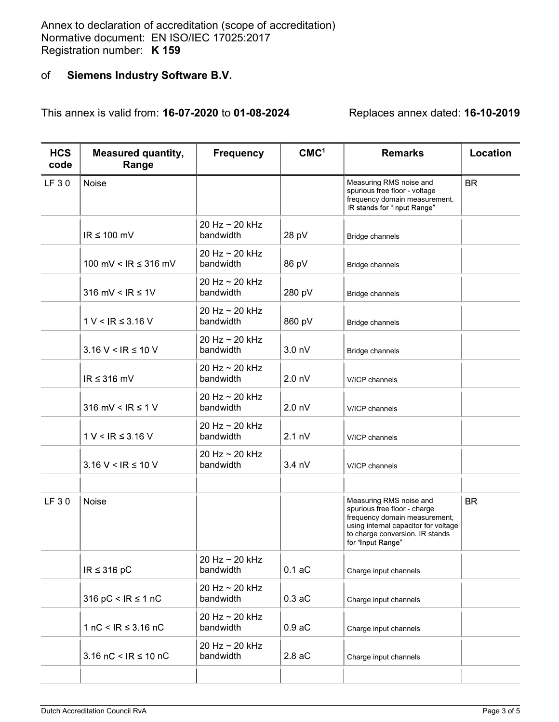Annex to declaration of accreditation (scope of accreditation)<br>Normative document: EN ISO/IEC 17025:2017 Annex to declaration of accreditation (scope of accreditation)<br>Normative document: EN ISO/IEC 17025:2017<br>Registration number: **K 159**<br>of **Siemens Industry Software B.V.** Annex to declaration of accreditation (scope of accreditation)<br>Normative document: EN ISO/IEC 17025:2017<br>Registration number: K 159<br>of Siemens Industry Software B.V.

# of Siemens Industry Software B.V.

This annex is valid from: 16-07-2020 to 01-08-2024 Replaces annex dated: 16-10-2019

| <b>HCS</b><br>code | <b>Measured quantity,</b><br>Range | <b>Frequency</b>            | CMC <sup>1</sup>  | <b>Remarks</b>                                                                                                                                                                           | Location  |
|--------------------|------------------------------------|-----------------------------|-------------------|------------------------------------------------------------------------------------------------------------------------------------------------------------------------------------------|-----------|
| LF 30              | Noise                              |                             |                   | Measuring RMS noise and<br>spurious free floor - voltage<br>frequency domain measurement.<br>IR stands for "Input Range"                                                                 | <b>BR</b> |
|                    | $IR \leq 100$ mV                   | 20 Hz ~ 20 kHz<br>bandwidth | 28 pV             | Bridge channels                                                                                                                                                                          |           |
|                    | 100 mV < $IR \le 316$ mV           | 20 Hz ~ 20 kHz<br>bandwidth | 86 pV             | <b>Bridge channels</b>                                                                                                                                                                   |           |
|                    | 316 mV < $IR \le 1V$               | 20 Hz ~ 20 kHz<br>bandwidth | 280 pV            | Bridge channels                                                                                                                                                                          |           |
|                    | $1 V < IR \leq 3.16 V$             | 20 Hz ~ 20 kHz<br>bandwidth | 860 pV            | Bridge channels                                                                                                                                                                          |           |
|                    | $3.16 V < IR \le 10 V$             | 20 Hz ~ 20 kHz<br>bandwidth | 3.0 <sub>nV</sub> | Bridge channels                                                                                                                                                                          |           |
|                    | $IR \leq 316$ mV                   | 20 Hz ~ 20 kHz<br>bandwidth | 2.0 <sub>nV</sub> | V/ICP channels                                                                                                                                                                           |           |
|                    | 316 mV < $IR \leq 1$ V             | 20 Hz ~ 20 kHz<br>bandwidth | 2.0 <sub>nV</sub> | V/ICP channels                                                                                                                                                                           |           |
|                    | $1 V < IR \leq 3.16 V$             | 20 Hz ~ 20 kHz<br>bandwidth | $2.1 \text{ nV}$  | V/ICP channels                                                                                                                                                                           |           |
|                    | $3.16 V < IR \le 10 V$             | 20 Hz ~ 20 kHz<br>bandwidth | $3.4 \text{ nV}$  | V/ICP channels                                                                                                                                                                           |           |
| LF 30              | Noise                              |                             |                   | Measuring RMS noise and<br>spurious free floor - charge<br>frequency domain measurement,<br>using internal capacitor for voltage<br>to charge conversion. IR stands<br>for "Input Range" | <b>BR</b> |
|                    | IR $\leq$ 316 pC                   | 20 Hz ~ 20 kHz<br>bandwidth | 0.1 aC            | Charge input channels                                                                                                                                                                    |           |
|                    | 316 pC < $IR \le 1 nC$             | 20 Hz ~ 20 kHz<br>bandwidth | 0.3 aC            | Charge input channels                                                                                                                                                                    |           |
|                    | 1 nC < $IR \leq 3.16$ nC           | 20 Hz ~ 20 kHz<br>bandwidth | 0.9 aC            | Charge input channels                                                                                                                                                                    |           |
|                    | 3.16 nC < $IR \le 10$ nC           | 20 Hz ~ 20 kHz<br>bandwidth | 2.8 aC            | Charge input channels                                                                                                                                                                    |           |
|                    |                                    |                             |                   |                                                                                                                                                                                          |           |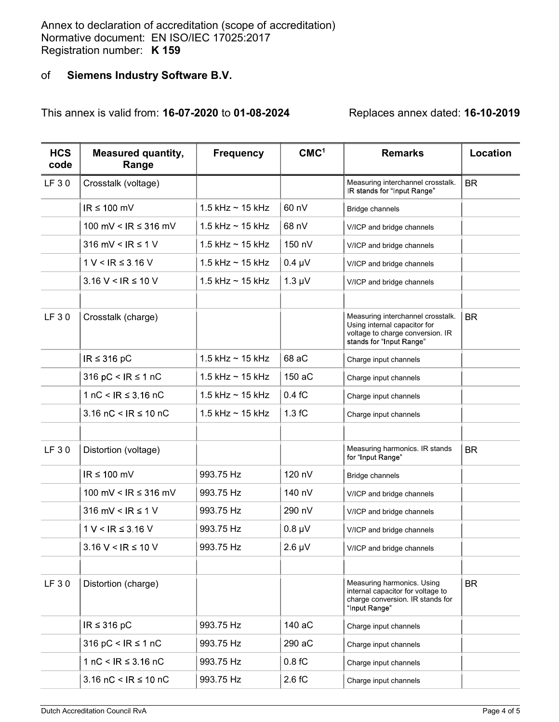Annex to declaration of accreditation (scope of accreditation)<br>Normative document: EN ISO/IEC 17025:2017 Annex to declaration of accreditation (scope of accreditation)<br>Normative document: EN ISO/IEC 17025:2017<br>Registration number: **K 159**<br>of **Siemens Industry Software B.V.** Annex to declaration of accreditation (scope of accreditation)<br>Normative document: EN ISO/IEC 17025:2017<br>Registration number: K 159<br>of Siemens Industry Software B.V.

# of Siemens Industry Software B.V.

This annex is valid from: 16-07-2020 to 01-08-2024 Replaces annex dated: 16-10-2019

| <b>HCS</b><br>code | <b>Measured quantity,</b><br>Range | <b>Frequency</b>        | CMC <sup>1</sup> | <b>Remarks</b>                                                                                                                    | Location  |
|--------------------|------------------------------------|-------------------------|------------------|-----------------------------------------------------------------------------------------------------------------------------------|-----------|
| LF 30              | Crosstalk (voltage)                |                         |                  | Measuring interchannel crosstalk.<br>IR stands for "Input Range"                                                                  | <b>BR</b> |
|                    | $IR \leq 100$ mV                   | $1.5$ kHz $\sim$ 15 kHz | 60 nV            | <b>Bridge channels</b>                                                                                                            |           |
|                    | 100 mV < $IR ≤ 316$ mV             | 1.5 kHz $\sim$ 15 kHz   | 68 nV            | V/ICP and bridge channels                                                                                                         |           |
|                    | 316 mV < $IR \le 1$ V              | 1.5 kHz $\sim$ 15 kHz   | 150 nV           | V/ICP and bridge channels                                                                                                         |           |
|                    | $1 V < IR \leq 3.16 V$             | 1.5 kHz $\sim$ 15 kHz   | $0.4 \mu V$      | V/ICP and bridge channels                                                                                                         |           |
|                    | $3.16 V < IR \le 10 V$             | 1.5 kHz $\sim$ 15 kHz   | $1.3 \mu V$      | V/ICP and bridge channels                                                                                                         |           |
| LF 30              | Crosstalk (charge)                 |                         |                  | Measuring interchannel crosstalk.<br>Using internal capacitor for<br>voltage to charge conversion. IR<br>stands for "Input Range" | <b>BR</b> |
|                    | $IR \leq 316 pC$                   | $1.5$ kHz $\sim$ 15 kHz | 68 aC            | Charge input channels                                                                                                             |           |
|                    | 316 pC < $IR \le 1 nC$             | $1.5$ kHz $\sim$ 15 kHz | 150 aC           | Charge input channels                                                                                                             |           |
|                    | 1 nC < $IR ≤ 3.16 nC$              | 1.5 kHz $\sim$ 15 kHz   | 0.4 fC           | Charge input channels                                                                                                             |           |
|                    | 3.16 $nC < IR \le 10 nC$           | $1.5$ kHz $\sim$ 15 kHz | 1.3 fC           | Charge input channels                                                                                                             |           |
| LF 30              | Distortion (voltage)               |                         |                  | Measuring harmonics. IR stands<br>for "Input Range"                                                                               | <b>BR</b> |
|                    | $IR \leq 100$ mV                   | 993.75 Hz               | 120 nV           | Bridge channels                                                                                                                   |           |
|                    | 100 mV < $IR \leq 316$ mV          | 993.75 Hz               | 140 nV           | V/ICP and bridge channels                                                                                                         |           |
|                    | 316 mV < $IR \leq 1$ V             | 993.75 Hz               | 290 nV           | V/ICP and bridge channels                                                                                                         |           |
|                    | $1 V < IR \leq 3.16 V$             | 993.75 Hz               | $0.8 \mu V$      | V/ICP and bridge channels                                                                                                         |           |
|                    | $3.16 V < IR \le 10 V$             | 993.75 Hz               | $2.6 \mu V$      | V/ICP and bridge channels                                                                                                         |           |
| LF 30              | Distortion (charge)                |                         |                  | Measuring harmonics. Using<br>internal capacitor for voltage to<br>charge conversion. IR stands for<br>"Input Range"              | <b>BR</b> |
|                    | $IR \leq 316 pC$                   | 993.75 Hz               | 140 aC           | Charge input channels                                                                                                             |           |
|                    | 316 pC < $IR \le 1 nC$             | 993.75 Hz               | 290 aC           | Charge input channels                                                                                                             |           |
|                    | 1 nC < IR $\leq$ 3.16 nC           | 993.75 Hz               | 0.8 fC           | Charge input channels                                                                                                             |           |
|                    | 3.16 nC < $IR \le 10$ nC           | 993.75 Hz               | 2.6 fC           | Charge input channels                                                                                                             |           |